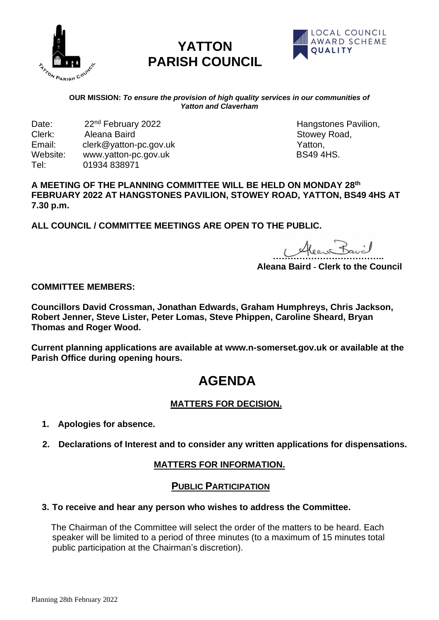

# **YATTON PARISH COUNCIL**



#### **OUR MISSION:** *To ensure the provision of high quality services in our communities of Yatton and Claverham*

Date: 22<sup>nd</sup> February 2022 **https://www.frankingtones** Pavilion, Clerk: Aleana Baird **Clerk**: 2022 Aleana Baird **Stowey Road, Clerk: Aleana Baird** Stowey Road, Email: clerk@yatton-pc.gov.uk Change Change Change Change Change Change Change Change Change Change Change Change Change Change Change Change Change Change Change Change Change Change Change Change Change Change Change Cha Website: www.yatton-pc.gov.uk BS49 4HS. Tel: 01934 838971

#### **A MEETING OF THE PLANNING COMMITTEE WILL BE HELD ON MONDAY 28th FEBRUARY 2022 AT HANGSTONES PAVILION, STOWEY ROAD, YATTON, BS49 4HS AT 7.30 p.m.**

**ALL COUNCIL / COMMITTEE MEETINGS ARE OPEN TO THE PUBLIC.**

 **………………………………..** 

**Aleana Baird - Clerk to the Council**

#### **COMMITTEE MEMBERS:**

**Councillors David Crossman, Jonathan Edwards, Graham Humphreys, Chris Jackson, Robert Jenner, Steve Lister, Peter Lomas, Steve Phippen, Caroline Sheard, Bryan Thomas and Roger Wood.** 

**Current planning applications are available at www.n-somerset.gov.uk or available at the Parish Office during opening hours.**

# **AGENDA**

# **MATTERS FOR DECISION.**

- **1. Apologies for absence.**
- **2. Declarations of Interest and to consider any written applications for dispensations.**

### **MATTERS FOR INFORMATION.**

### **PUBLIC PARTICIPATION**

#### **3. To receive and hear any person who wishes to address the Committee.**

 The Chairman of the Committee will select the order of the matters to be heard. Each speaker will be limited to a period of three minutes (to a maximum of 15 minutes total public participation at the Chairman's discretion).